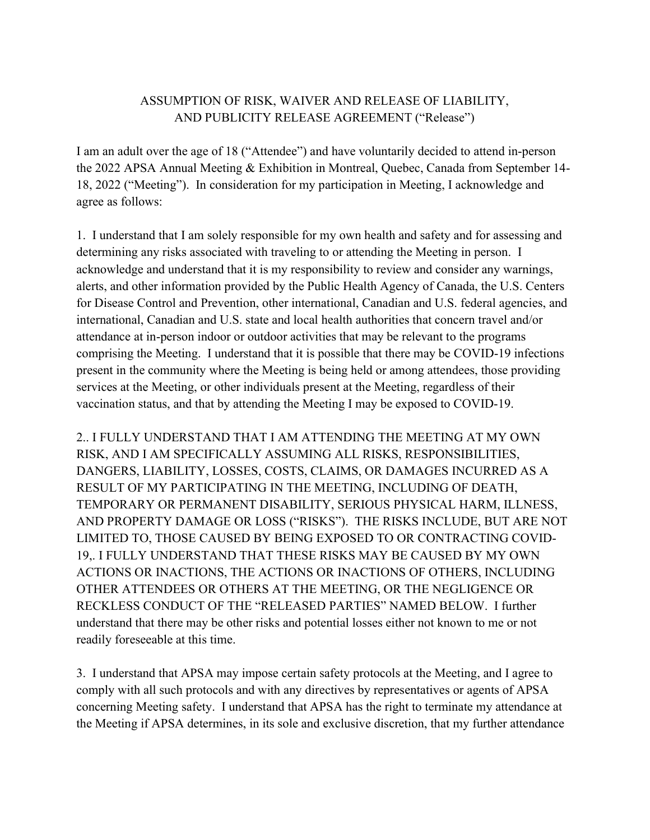## ASSUMPTION OF RISK, WAIVER AND RELEASE OF LIABILITY, AND PUBLICITY RELEASE AGREEMENT ("Release")

I am an adult over the age of 18 ("Attendee") and have voluntarily decided to attend in-person the 2022 APSA Annual Meeting & Exhibition in Montreal, Quebec, Canada from September 14- 18, 2022 ("Meeting"). In consideration for my participation in Meeting, I acknowledge and agree as follows:

1. I understand that I am solely responsible for my own health and safety and for assessing and determining any risks associated with traveling to or attending the Meeting in person. I acknowledge and understand that it is my responsibility to review and consider any warnings, alerts, and other information provided by the Public Health Agency of Canada, the U.S. Centers for Disease Control and Prevention, other international, Canadian and U.S. federal agencies, and international, Canadian and U.S. state and local health authorities that concern travel and/or attendance at in-person indoor or outdoor activities that may be relevant to the programs comprising the Meeting. I understand that it is possible that there may be COVID-19 infections present in the community where the Meeting is being held or among attendees, those providing services at the Meeting, or other individuals present at the Meeting, regardless of their vaccination status, and that by attending the Meeting I may be exposed to COVID-19.

2.. I FULLY UNDERSTAND THAT I AM ATTENDING THE MEETING AT MY OWN RISK, AND I AM SPECIFICALLY ASSUMING ALL RISKS, RESPONSIBILITIES, DANGERS, LIABILITY, LOSSES, COSTS, CLAIMS, OR DAMAGES INCURRED AS A RESULT OF MY PARTICIPATING IN THE MEETING, INCLUDING OF DEATH, TEMPORARY OR PERMANENT DISABILITY, SERIOUS PHYSICAL HARM, ILLNESS, AND PROPERTY DAMAGE OR LOSS ("RISKS"). THE RISKS INCLUDE, BUT ARE NOT LIMITED TO, THOSE CAUSED BY BEING EXPOSED TO OR CONTRACTING COVID-19,. I FULLY UNDERSTAND THAT THESE RISKS MAY BE CAUSED BY MY OWN ACTIONS OR INACTIONS, THE ACTIONS OR INACTIONS OF OTHERS, INCLUDING OTHER ATTENDEES OR OTHERS AT THE MEETING, OR THE NEGLIGENCE OR RECKLESS CONDUCT OF THE "RELEASED PARTIES" NAMED BELOW. I further understand that there may be other risks and potential losses either not known to me or not readily foreseeable at this time.

3. I understand that APSA may impose certain safety protocols at the Meeting, and I agree to comply with all such protocols and with any directives by representatives or agents of APSA concerning Meeting safety. I understand that APSA has the right to terminate my attendance at the Meeting if APSA determines, in its sole and exclusive discretion, that my further attendance